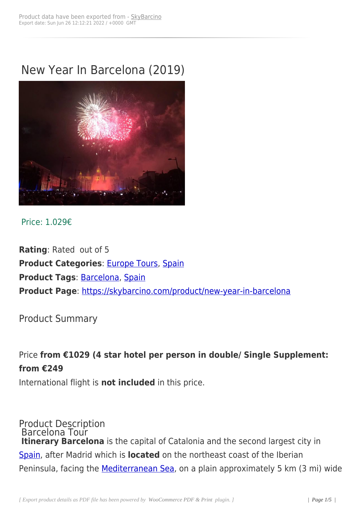# New Year In Barcelona (2019)



### Price: 1.029€

**Rating**: Rated out of 5 **Product Categories: Europe Tours, Spain Product Tags**: Barcelona, Spain **Product Page**: https:/[/skybarcino.co](https://skybarcino.com/product-category/all-destinations/destinations/europe-tours)[m/pro](https://skybarcino.com/product-category/all-destinations/destinations/europe-tours/spain)duct/new-year-in-barcelona

Product Sum[mary](https://skybarcino.com/product/new-year-in-barcelona)

Price **from €1029 (4 star hotel per person in double/ Single Supplement: from €249**

International flight is **not included** in this price.

Product Description Barcelona Tour **Itinerary Barcelona** is the capital of Catalonia and the second largest city in Spain, after Madrid which is **located** on the northeast coast of the Iberian Peninsula, facing the **Mediterranean Sea**, on a plain approximately 5 km (3 mi) wide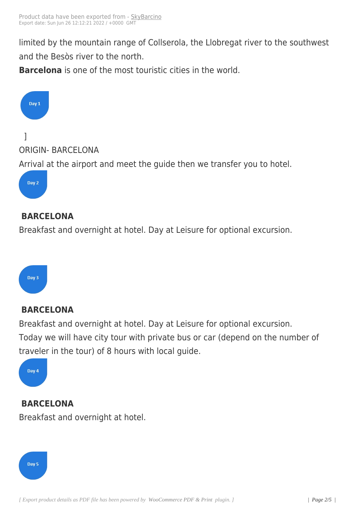limited by the mountain ran[ge of Coll](https://skybarcino.com?post_type=product&p=7063)serola, the Llobregat river to the southwest and the Besòs river to the north.

**Barcelona** is one of the most touristic cities in the world.



### **BARCELONA**

Breakfast and overnight at hotel. Day at Leisure for optional excursion.



## **BARCELONA**

Breakfast and overnight at hotel. Day at Leisure for optional excursion. Today we will have city tour with private bus or car (depend on the number of traveler in the tour) of 8 hours with local guide.



**BARCELONA** Breakfast and overnight at hotel.

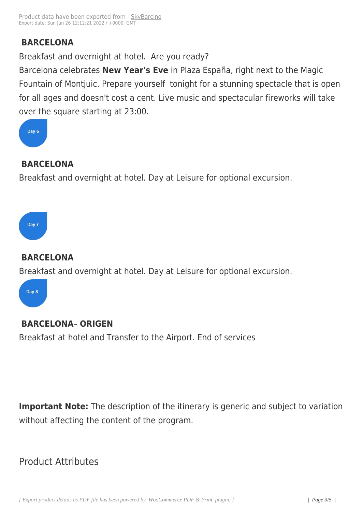# **BARCELONA**

Breakfast and overnight at hotel. Are you ready?

Barcelona celebrates **New Year's Eve** in Plaza España, right next to the Magic Fountain of Montjuic. Prepare yourself tonight for a stunning spectacle that is open for all ages and doesn't cost a cent. Live music and spectacular fireworks will take over the square starting at 23:00.



# **BARCELONA**

Breakfast and overnight at hotel. Day at Leisure for optional excursion.

### **BARCELONA**

Breakfast and overnight at hotel. Day at Leisure for optional excursion.

Day 8

Day 7

## **BARCELONA**– **ORIGEN**

Breakfast at hotel and Transfer to the Airport. End of services

**Important Note:** The description of the itinerary is generic and subject to variation without affecting the content of the program.

# Product Attributes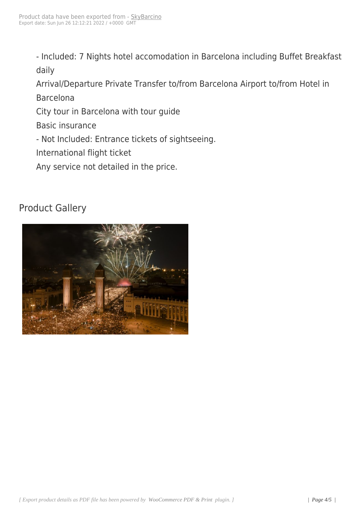- Included: 7 Nights hotel accomodation in Barcelona including Buffet Breakfast daily

Arrival/Departure Private Transfer to/from Barcelona Airport to/from Hotel in Barcelona

City tour in Barcelona with tour guide

Basic insurance

- Not Included: Entrance tickets of sightseeing.

International flight ticket

Any service not detailed in the price.

# Product Gallery